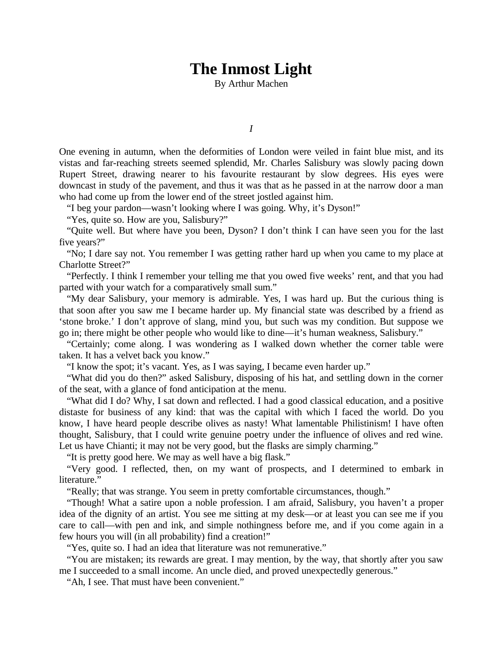## **The Inmost Light**

By Arthur Machen

*I*

One evening in autumn, when the deformities of London were veiled in faint blue mist, and its vistas and far-reaching streets seemed splendid, Mr. Charles Salisbury was slowly pacing down Rupert Street, drawing nearer to his favourite restaurant by slow degrees. His eyes were downcast in study of the pavement, and thus it was that as he passed in at the narrow door a man who had come up from the lower end of the street jostled against him.

"I beg your pardon—wasn't looking where I was going. Why, it's Dyson!"

"Yes, quite so. How are you, Salisbury?"

"Quite well. But where have you been, Dyson? I don't think I can have seen you for the last five years?"

"No; I dare say not. You remember I was getting rather hard up when you came to my place at Charlotte Street?"

"Perfectly. I think I remember your telling me that you owed five weeks' rent, and that you had parted with your watch for a comparatively small sum."

"My dear Salisbury, your memory is admirable. Yes, I was hard up. But the curious thing is that soon after you saw me I became harder up. My financial state was described by a friend as 'stone broke.' I don't approve of slang, mind you, but such was my condition. But suppose we go in; there might be other people who would like to dine—it's human weakness, Salisbury."

"Certainly; come along. I was wondering as I walked down whether the corner table were taken. It has a velvet back you know."

"I know the spot; it's vacant. Yes, as I was saying, I became even harder up."

"What did you do then?" asked Salisbury, disposing of his hat, and settling down in the corner of the seat, with a glance of fond anticipation at the menu.

"What did I do? Why, I sat down and reflected. I had a good classical education, and a positive distaste for business of any kind: that was the capital with which I faced the world. Do you know, I have heard people describe olives as nasty! What lamentable Philistinism! I have often thought, Salisbury, that I could write genuine poetry under the influence of olives and red wine. Let us have Chianti; it may not be very good, but the flasks are simply charming."

"It is pretty good here. We may as well have a big flask."

"Very good. I reflected, then, on my want of prospects, and I determined to embark in literature."

"Really; that was strange. You seem in pretty comfortable circumstances, though."

"Though! What a satire upon a noble profession. I am afraid, Salisbury, you haven't a proper idea of the dignity of an artist. You see me sitting at my desk—or at least you can see me if you care to call—with pen and ink, and simple nothingness before me, and if you come again in a few hours you will (in all probability) find a creation!"

"Yes, quite so. I had an idea that literature was not remunerative."

"You are mistaken; its rewards are great. I may mention, by the way, that shortly after you saw me I succeeded to a small income. An uncle died, and proved unexpectedly generous."

"Ah, I see. That must have been convenient."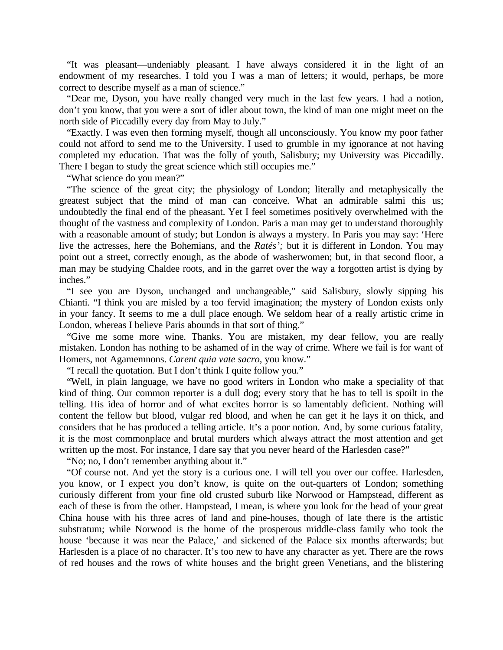"It was pleasant—undeniably pleasant. I have always considered it in the light of an endowment of my researches. I told you I was a man of letters; it would, perhaps, be more correct to describe myself as a man of science."

"Dear me, Dyson, you have really changed very much in the last few years. I had a notion, don't you know, that you were a sort of idler about town, the kind of man one might meet on the north side of Piccadilly every day from May to July."

"Exactly. I was even then forming myself, though all unconsciously. You know my poor father could not afford to send me to the University. I used to grumble in my ignorance at not having completed my education. That was the folly of youth, Salisbury; my University was Piccadilly. There I began to study the great science which still occupies me."

"What science do you mean?"

"The science of the great city; the physiology of London; literally and metaphysically the greatest subject that the mind of man can conceive. What an admirable salmi this us; undoubtedly the final end of the pheasant. Yet I feel sometimes positively overwhelmed with the thought of the vastness and complexity of London. Paris a man may get to understand thoroughly with a reasonable amount of study; but London is always a mystery. In Paris you may say: 'Here live the actresses, here the Bohemians, and the *Ratés';* but it is different in London. You may point out a street, correctly enough, as the abode of washerwomen; but, in that second floor, a man may be studying Chaldee roots, and in the garret over the way a forgotten artist is dying by inches."

"I see you are Dyson, unchanged and unchangeable," said Salisbury, slowly sipping his Chianti. "I think you are misled by a too fervid imagination; the mystery of London exists only in your fancy. It seems to me a dull place enough. We seldom hear of a really artistic crime in London, whereas I believe Paris abounds in that sort of thing."

"Give me some more wine. Thanks. You are mistaken, my dear fellow, you are really mistaken. London has nothing to be ashamed of in the way of crime. Where we fail is for want of Homers, not Agamemnons. *Carent quia vate sacro,* you know."

"I recall the quotation. But I don't think I quite follow you."

"Well, in plain language, we have no good writers in London who make a speciality of that kind of thing. Our common reporter is a dull dog; every story that he has to tell is spoilt in the telling. His idea of horror and of what excites horror is so lamentably deficient. Nothing will content the fellow but blood, vulgar red blood, and when he can get it he lays it on thick, and considers that he has produced a telling article. It's a poor notion. And, by some curious fatality, it is the most commonplace and brutal murders which always attract the most attention and get written up the most. For instance, I dare say that you never heard of the Harlesden case?"

"No; no, I don't remember anything about it."

"Of course not. And yet the story is a curious one. I will tell you over our coffee. Harlesden, you know, or I expect you don't know, is quite on the out-quarters of London; something curiously different from your fine old crusted suburb like Norwood or Hampstead, different as each of these is from the other. Hampstead, I mean, is where you look for the head of your great China house with his three acres of land and pine-houses, though of late there is the artistic substratum; while Norwood is the home of the prosperous middle-class family who took the house 'because it was near the Palace,' and sickened of the Palace six months afterwards; but Harlesden is a place of no character. It's too new to have any character as yet. There are the rows of red houses and the rows of white houses and the bright green Venetians, and the blistering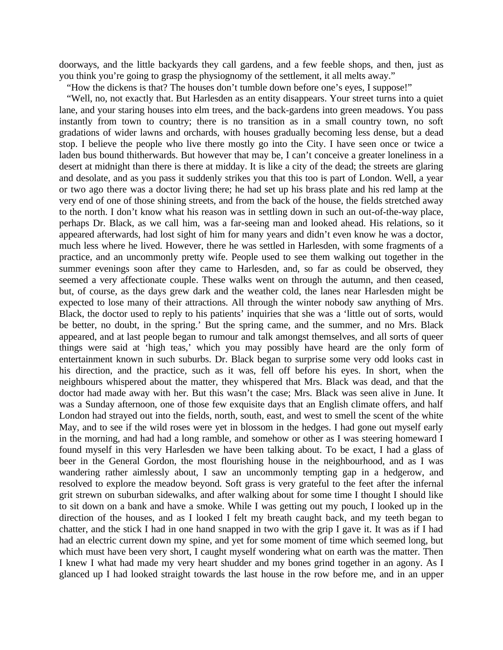doorways, and the little backyards they call gardens, and a few feeble shops, and then, just as you think you're going to grasp the physiognomy of the settlement, it all melts away."

"How the dickens is that? The houses don't tumble down before one's eyes, I suppose!"

"Well, no, not exactly that. But Harlesden as an entity disappears. Your street turns into a quiet lane, and your staring houses into elm trees, and the back-gardens into green meadows. You pass instantly from town to country; there is no transition as in a small country town, no soft gradations of wider lawns and orchards, with houses gradually becoming less dense, but a dead stop. I believe the people who live there mostly go into the City. I have seen once or twice a laden bus bound thitherwards. But however that may be, I can't conceive a greater loneliness in a desert at midnight than there is there at midday. It is like a city of the dead; the streets are glaring and desolate, and as you pass it suddenly strikes you that this too is part of London. Well, a year or two ago there was a doctor living there; he had set up his brass plate and his red lamp at the very end of one of those shining streets, and from the back of the house, the fields stretched away to the north. I don't know what his reason was in settling down in such an out-of-the-way place, perhaps Dr. Black, as we call him, was a far-seeing man and looked ahead. His relations, so it appeared afterwards, had lost sight of him for many years and didn't even know he was a doctor, much less where he lived. However, there he was settled in Harlesden, with some fragments of a practice, and an uncommonly pretty wife. People used to see them walking out together in the summer evenings soon after they came to Harlesden, and, so far as could be observed, they seemed a very affectionate couple. These walks went on through the autumn, and then ceased, but, of course, as the days grew dark and the weather cold, the lanes near Harlesden might be expected to lose many of their attractions. All through the winter nobody saw anything of Mrs. Black, the doctor used to reply to his patients' inquiries that she was a 'little out of sorts, would be better, no doubt, in the spring.' But the spring came, and the summer, and no Mrs. Black appeared, and at last people began to rumour and talk amongst themselves, and all sorts of queer things were said at 'high teas,' which you may possibly have heard are the only form of entertainment known in such suburbs. Dr. Black began to surprise some very odd looks cast in his direction, and the practice, such as it was, fell off before his eyes. In short, when the neighbours whispered about the matter, they whispered that Mrs. Black was dead, and that the doctor had made away with her. But this wasn't the case; Mrs. Black was seen alive in June. It was a Sunday afternoon, one of those few exquisite days that an English climate offers, and half London had strayed out into the fields, north, south, east, and west to smell the scent of the white May, and to see if the wild roses were yet in blossom in the hedges. I had gone out myself early in the morning, and had had a long ramble, and somehow or other as I was steering homeward I found myself in this very Harlesden we have been talking about. To be exact, I had a glass of beer in the General Gordon, the most flourishing house in the neighbourhood, and as I was wandering rather aimlessly about, I saw an uncommonly tempting gap in a hedgerow, and resolved to explore the meadow beyond. Soft grass is very grateful to the feet after the infernal grit strewn on suburban sidewalks, and after walking about for some time I thought I should like to sit down on a bank and have a smoke. While I was getting out my pouch, I looked up in the direction of the houses, and as I looked I felt my breath caught back, and my teeth began to chatter, and the stick I had in one hand snapped in two with the grip I gave it. It was as if I had had an electric current down my spine, and yet for some moment of time which seemed long, but which must have been very short, I caught myself wondering what on earth was the matter. Then I knew I what had made my very heart shudder and my bones grind together in an agony. As I glanced up I had looked straight towards the last house in the row before me, and in an upper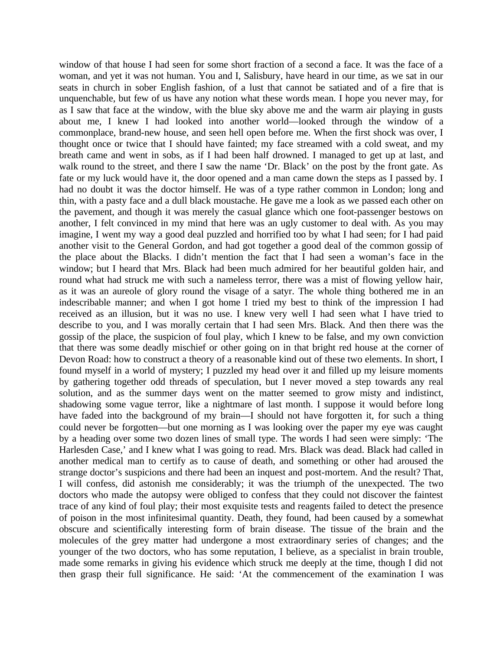window of that house I had seen for some short fraction of a second a face. It was the face of a woman, and yet it was not human. You and I, Salisbury, have heard in our time, as we sat in our seats in church in sober English fashion, of a lust that cannot be satiated and of a fire that is unquenchable, but few of us have any notion what these words mean. I hope you never may, for as I saw that face at the window, with the blue sky above me and the warm air playing in gusts about me, I knew I had looked into another world—looked through the window of a commonplace, brand-new house, and seen hell open before me. When the first shock was over, I thought once or twice that I should have fainted; my face streamed with a cold sweat, and my breath came and went in sobs, as if I had been half drowned. I managed to get up at last, and walk round to the street, and there I saw the name 'Dr. Black' on the post by the front gate. As fate or my luck would have it, the door opened and a man came down the steps as I passed by. I had no doubt it was the doctor himself. He was of a type rather common in London; long and thin, with a pasty face and a dull black moustache. He gave me a look as we passed each other on the pavement, and though it was merely the casual glance which one foot-passenger bestows on another, I felt convinced in my mind that here was an ugly customer to deal with. As you may imagine, I went my way a good deal puzzled and horrified too by what I had seen; for I had paid another visit to the General Gordon, and had got together a good deal of the common gossip of the place about the Blacks. I didn't mention the fact that I had seen a woman's face in the window; but I heard that Mrs. Black had been much admired for her beautiful golden hair, and round what had struck me with such a nameless terror, there was a mist of flowing yellow hair, as it was an aureole of glory round the visage of a satyr. The whole thing bothered me in an indescribable manner; and when I got home I tried my best to think of the impression I had received as an illusion, but it was no use. I knew very well I had seen what I have tried to describe to you, and I was morally certain that I had seen Mrs. Black. And then there was the gossip of the place, the suspicion of foul play, which I knew to be false, and my own conviction that there was some deadly mischief or other going on in that bright red house at the corner of Devon Road: how to construct a theory of a reasonable kind out of these two elements. In short, I found myself in a world of mystery; I puzzled my head over it and filled up my leisure moments by gathering together odd threads of speculation, but I never moved a step towards any real solution, and as the summer days went on the matter seemed to grow misty and indistinct, shadowing some vague terror, like a nightmare of last month. I suppose it would before long have faded into the background of my brain—I should not have forgotten it, for such a thing could never be forgotten—but one morning as I was looking over the paper my eye was caught by a heading over some two dozen lines of small type. The words I had seen were simply: 'The Harlesden Case,' and I knew what I was going to read. Mrs. Black was dead. Black had called in another medical man to certify as to cause of death, and something or other had aroused the strange doctor's suspicions and there had been an inquest and post-mortem. And the result? That, I will confess, did astonish me considerably; it was the triumph of the unexpected. The two doctors who made the autopsy were obliged to confess that they could not discover the faintest trace of any kind of foul play; their most exquisite tests and reagents failed to detect the presence of poison in the most infinitesimal quantity. Death, they found, had been caused by a somewhat obscure and scientifically interesting form of brain disease. The tissue of the brain and the molecules of the grey matter had undergone a most extraordinary series of changes; and the younger of the two doctors, who has some reputation, I believe, as a specialist in brain trouble, made some remarks in giving his evidence which struck me deeply at the time, though I did not then grasp their full significance. He said: 'At the commencement of the examination I was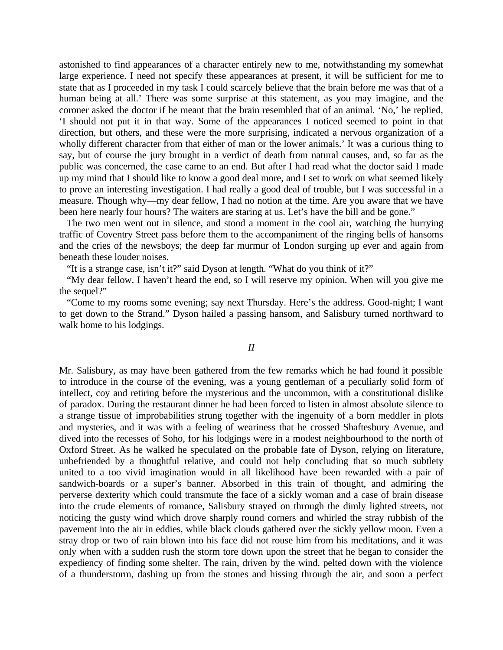astonished to find appearances of a character entirely new to me, notwithstanding my somewhat large experience. I need not specify these appearances at present, it will be sufficient for me to state that as I proceeded in my task I could scarcely believe that the brain before me was that of a human being at all.' There was some surprise at this statement, as you may imagine, and the coroner asked the doctor if he meant that the brain resembled that of an animal. 'No,' he replied, 'I should not put it in that way. Some of the appearances I noticed seemed to point in that direction, but others, and these were the more surprising, indicated a nervous organization of a wholly different character from that either of man or the lower animals.' It was a curious thing to say, but of course the jury brought in a verdict of death from natural causes, and, so far as the public was concerned, the case came to an end. But after I had read what the doctor said I made up my mind that I should like to know a good deal more, and I set to work on what seemed likely to prove an interesting investigation. I had really a good deal of trouble, but I was successful in a measure. Though why—my dear fellow, I had no notion at the time. Are you aware that we have been here nearly four hours? The waiters are staring at us. Let's have the bill and be gone."

The two men went out in silence, and stood a moment in the cool air, watching the hurrying traffic of Coventry Street pass before them to the accompaniment of the ringing bells of hansoms and the cries of the newsboys; the deep far murmur of London surging up ever and again from beneath these louder noises.

"It is a strange case, isn't it?" said Dyson at length. "What do you think of it?"

"My dear fellow. I haven't heard the end, so I will reserve my opinion. When will you give me the sequel?"

"Come to my rooms some evening; say next Thursday. Here's the address. Good-night; I want to get down to the Strand." Dyson hailed a passing hansom, and Salisbury turned northward to walk home to his lodgings.

## *II*

Mr. Salisbury, as may have been gathered from the few remarks which he had found it possible to introduce in the course of the evening, was a young gentleman of a peculiarly solid form of intellect, coy and retiring before the mysterious and the uncommon, with a constitutional dislike of paradox. During the restaurant dinner he had been forced to listen in almost absolute silence to a strange tissue of improbabilities strung together with the ingenuity of a born meddler in plots and mysteries, and it was with a feeling of weariness that he crossed Shaftesbury Avenue, and dived into the recesses of Soho, for his lodgings were in a modest neighbourhood to the north of Oxford Street. As he walked he speculated on the probable fate of Dyson, relying on literature, unbefriended by a thoughtful relative, and could not help concluding that so much subtlety united to a too vivid imagination would in all likelihood have been rewarded with a pair of sandwich-boards or a super's banner. Absorbed in this train of thought, and admiring the perverse dexterity which could transmute the face of a sickly woman and a case of brain disease into the crude elements of romance, Salisbury strayed on through the dimly lighted streets, not noticing the gusty wind which drove sharply round corners and whirled the stray rubbish of the pavement into the air in eddies, while black clouds gathered over the sickly yellow moon. Even a stray drop or two of rain blown into his face did not rouse him from his meditations, and it was only when with a sudden rush the storm tore down upon the street that he began to consider the expediency of finding some shelter. The rain, driven by the wind, pelted down with the violence of a thunderstorm, dashing up from the stones and hissing through the air, and soon a perfect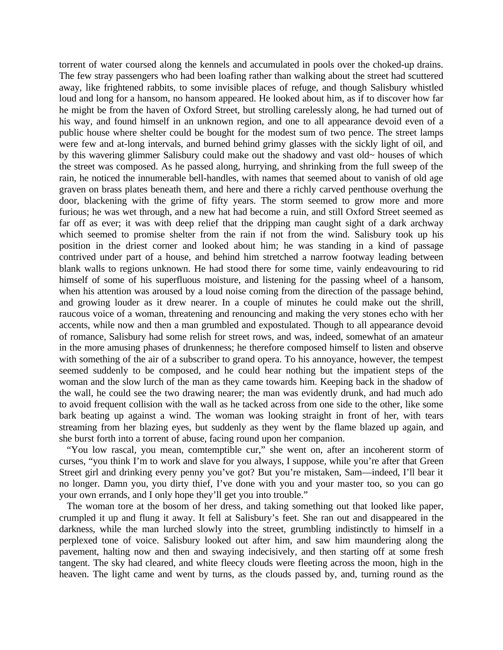torrent of water coursed along the kennels and accumulated in pools over the choked-up drains. The few stray passengers who had been loafing rather than walking about the street had scuttered away, like frightened rabbits, to some invisible places of refuge, and though Salisbury whistled loud and long for a hansom, no hansom appeared. He looked about him, as if to discover how far he might be from the haven of Oxford Street, but strolling carelessly along, he had turned out of his way, and found himself in an unknown region, and one to all appearance devoid even of a public house where shelter could be bought for the modest sum of two pence. The street lamps were few and at-long intervals, and burned behind grimy glasses with the sickly light of oil, and by this wavering glimmer Salisbury could make out the shadowy and vast old~ houses of which the street was composed. As he passed along, hurrying, and shrinking from the full sweep of the rain, he noticed the innumerable bell-handles, with names that seemed about to vanish of old age graven on brass plates beneath them, and here and there a richly carved penthouse overhung the door, blackening with the grime of fifty years. The storm seemed to grow more and more furious; he was wet through, and a new hat had become a ruin, and still Oxford Street seemed as far off as ever; it was with deep relief that the dripping man caught sight of a dark archway which seemed to promise shelter from the rain if not from the wind. Salisbury took up his position in the driest corner and looked about him; he was standing in a kind of passage contrived under part of a house, and behind him stretched a narrow footway leading between blank walls to regions unknown. He had stood there for some time, vainly endeavouring to rid himself of some of his superfluous moisture, and listening for the passing wheel of a hansom, when his attention was aroused by a loud noise coming from the direction of the passage behind, and growing louder as it drew nearer. In a couple of minutes he could make out the shrill, raucous voice of a woman, threatening and renouncing and making the very stones echo with her accents, while now and then a man grumbled and expostulated. Though to all appearance devoid of romance, Salisbury had some relish for street rows, and was, indeed, somewhat of an amateur in the more amusing phases of drunkenness; he therefore composed himself to listen and observe with something of the air of a subscriber to grand opera. To his annoyance, however, the tempest seemed suddenly to be composed, and he could hear nothing but the impatient steps of the woman and the slow lurch of the man as they came towards him. Keeping back in the shadow of the wall, he could see the two drawing nearer; the man was evidently drunk, and had much ado to avoid frequent collision with the wall as he tacked across from one side to the other, like some bark beating up against a wind. The woman was looking straight in front of her, with tears streaming from her blazing eyes, but suddenly as they went by the flame blazed up again, and she burst forth into a torrent of abuse, facing round upon her companion.

"You low rascal, you mean, comtemptible cur," she went on, after an incoherent storm of curses, "you think I'm to work and slave for you always, I suppose, while you're after that Green Street girl and drinking every penny you've got? But you're mistaken, Sam—indeed, I'll bear it no longer. Damn you, you dirty thief, I've done with you and your master too, so you can go your own errands, and I only hope they'll get you into trouble."

The woman tore at the bosom of her dress, and taking something out that looked like paper, crumpled it up and flung it away. It fell at Salisbury's feet. She ran out and disappeared in the darkness, while the man lurched slowly into the street, grumbling indistinctly to himself in a perplexed tone of voice. Salisbury looked out after him, and saw him maundering along the pavement, halting now and then and swaying indecisively, and then starting off at some fresh tangent. The sky had cleared, and white fleecy clouds were fleeting across the moon, high in the heaven. The light came and went by turns, as the clouds passed by, and, turning round as the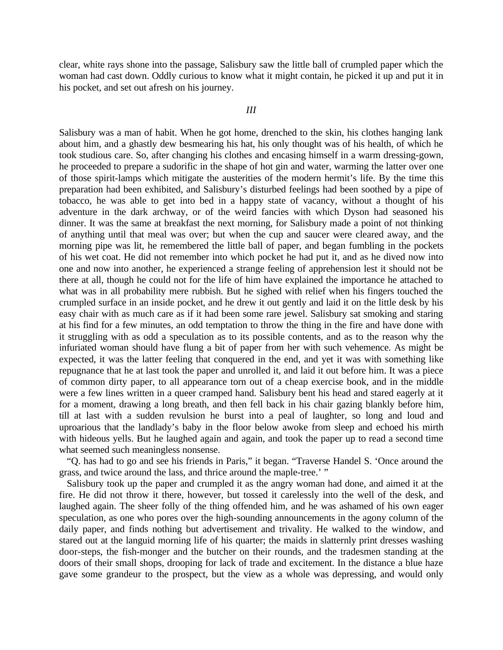clear, white rays shone into the passage, Salisbury saw the little ball of crumpled paper which the woman had cast down. Oddly curious to know what it might contain, he picked it up and put it in his pocket, and set out afresh on his journey.

## *III*

Salisbury was a man of habit. When he got home, drenched to the skin, his clothes hanging lank about him, and a ghastly dew besmearing his hat, his only thought was of his health, of which he took studious care. So, after changing his clothes and encasing himself in a warm dressing-gown, he proceeded to prepare a sudorific in the shape of hot gin and water, warming the latter over one of those spirit-lamps which mitigate the austerities of the modern hermit's life. By the time this preparation had been exhibited, and Salisbury's disturbed feelings had been soothed by a pipe of tobacco, he was able to get into bed in a happy state of vacancy, without a thought of his adventure in the dark archway, or of the weird fancies with which Dyson had seasoned his dinner. It was the same at breakfast the next morning, for Salisbury made a point of not thinking of anything until that meal was over; but when the cup and saucer were cleared away, and the morning pipe was lit, he remembered the little ball of paper, and began fumbling in the pockets of his wet coat. He did not remember into which pocket he had put it, and as he dived now into one and now into another, he experienced a strange feeling of apprehension lest it should not be there at all, though he could not for the life of him have explained the importance he attached to what was in all probability mere rubbish. But he sighed with relief when his fingers touched the crumpled surface in an inside pocket, and he drew it out gently and laid it on the little desk by his easy chair with as much care as if it had been some rare jewel. Salisbury sat smoking and staring at his find for a few minutes, an odd temptation to throw the thing in the fire and have done with it struggling with as odd a speculation as to its possible contents, and as to the reason why the infuriated woman should have flung a bit of paper from her with such vehemence. As might be expected, it was the latter feeling that conquered in the end, and yet it was with something like repugnance that he at last took the paper and unrolled it, and laid it out before him. It was a piece of common dirty paper, to all appearance torn out of a cheap exercise book, and in the middle were a few lines written in a queer cramped hand. Salisbury bent his head and stared eagerly at it for a moment, drawing a long breath, and then fell back in his chair gazing blankly before him, till at last with a sudden revulsion he burst into a peal of laughter, so long and loud and uproarious that the landlady's baby in the floor below awoke from sleep and echoed his mirth with hideous yells. But he laughed again and again, and took the paper up to read a second time what seemed such meaningless nonsense.

"Q. has had to go and see his friends in Paris," it began. "Traverse Handel S. 'Once around the grass, and twice around the lass, and thrice around the maple-tree.' "

Salisbury took up the paper and crumpled it as the angry woman had done, and aimed it at the fire. He did not throw it there, however, but tossed it carelessly into the well of the desk, and laughed again. The sheer folly of the thing offended him, and he was ashamed of his own eager speculation, as one who pores over the high-sounding announcements in the agony column of the daily paper, and finds nothing but advertisement and trivality. He walked to the window, and stared out at the languid morning life of his quarter; the maids in slatternly print dresses washing door-steps, the fish-monger and the butcher on their rounds, and the tradesmen standing at the doors of their small shops, drooping for lack of trade and excitement. In the distance a blue haze gave some grandeur to the prospect, but the view as a whole was depressing, and would only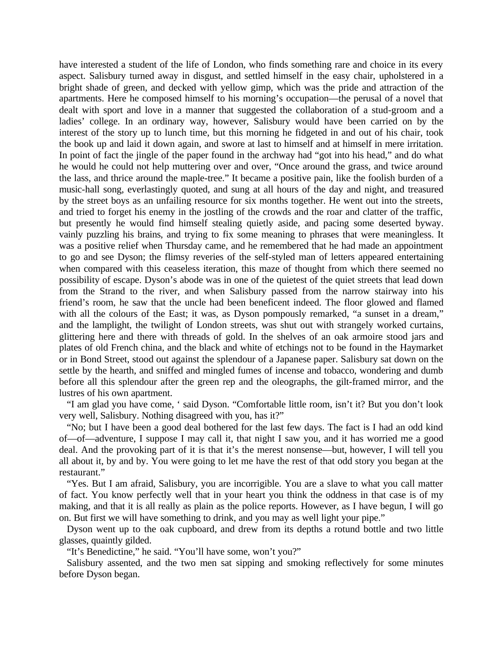have interested a student of the life of London, who finds something rare and choice in its every aspect. Salisbury turned away in disgust, and settled himself in the easy chair, upholstered in a bright shade of green, and decked with yellow gimp, which was the pride and attraction of the apartments. Here he composed himself to his morning's occupation—the perusal of a novel that dealt with sport and love in a manner that suggested the collaboration of a stud-groom and a ladies' college. In an ordinary way, however, Salisbury would have been carried on by the interest of the story up to lunch time, but this morning he fidgeted in and out of his chair, took the book up and laid it down again, and swore at last to himself and at himself in mere irritation. In point of fact the jingle of the paper found in the archway had "got into his head," and do what he would he could not help muttering over and over, "Once around the grass, and twice around the lass, and thrice around the maple-tree." It became a positive pain, like the foolish burden of a music-hall song, everlastingly quoted, and sung at all hours of the day and night, and treasured by the street boys as an unfailing resource for six months together. He went out into the streets, and tried to forget his enemy in the jostling of the crowds and the roar and clatter of the traffic, but presently he would find himself stealing quietly aside, and pacing some deserted byway. vainly puzzling his brains, and trying to fix some meaning to phrases that were meaningless. It was a positive relief when Thursday came, and he remembered that he had made an appointment to go and see Dyson; the flimsy reveries of the self-styled man of letters appeared entertaining when compared with this ceaseless iteration, this maze of thought from which there seemed no possibility of escape. Dyson's abode was in one of the quietest of the quiet streets that lead down from the Strand to the river, and when Salisbury passed from the narrow stairway into his friend's room, he saw that the uncle had been beneficent indeed. The floor glowed and flamed with all the colours of the East; it was, as Dyson pompously remarked, "a sunset in a dream," and the lamplight, the twilight of London streets, was shut out with strangely worked curtains, glittering here and there with threads of gold. In the shelves of an oak armoire stood jars and plates of old French china, and the black and white of etchings not to be found in the Haymarket or in Bond Street, stood out against the splendour of a Japanese paper. Salisbury sat down on the settle by the hearth, and sniffed and mingled fumes of incense and tobacco, wondering and dumb before all this splendour after the green rep and the oleographs, the gilt-framed mirror, and the lustres of his own apartment.

"I am glad you have come, ' said Dyson. "Comfortable little room, isn't it? But you don't look very well, Salisbury. Nothing disagreed with you, has it?"

"No; but I have been a good deal bothered for the last few days. The fact is I had an odd kind of—of—adventure, I suppose I may call it, that night I saw you, and it has worried me a good deal. And the provoking part of it is that it's the merest nonsense—but, however, I will tell you all about it, by and by. You were going to let me have the rest of that odd story you began at the restaurant."

"Yes. But I am afraid, Salisbury, you are incorrigible. You are a slave to what you call matter of fact. You know perfectly well that in your heart you think the oddness in that case is of my making, and that it is all really as plain as the police reports. However, as I have begun, I will go on. But first we will have something to drink, and you may as well light your pipe."

Dyson went up to the oak cupboard, and drew from its depths a rotund bottle and two little glasses, quaintly gilded.

"It's Benedictine," he said. "You'll have some, won't you?"

Salisbury assented, and the two men sat sipping and smoking reflectively for some minutes before Dyson began.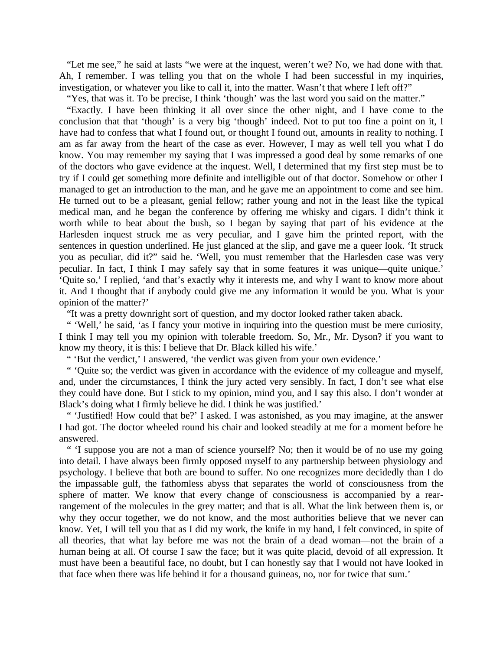"Let me see," he said at lasts "we were at the inquest, weren't we? No, we had done with that. Ah, I remember. I was telling you that on the whole I had been successful in my inquiries, investigation, or whatever you like to call it, into the matter. Wasn't that where I left off?"

"Yes, that was it. To be precise, I think 'though' was the last word you said on the matter."

"Exactly. I have been thinking it all over since the other night, and I have come to the conclusion that that 'though' is a very big 'though' indeed. Not to put too fine a point on it, I have had to confess that what I found out, or thought I found out, amounts in reality to nothing. I am as far away from the heart of the case as ever. However, I may as well tell you what I do know. You may remember my saying that I was impressed a good deal by some remarks of one of the doctors who gave evidence at the inquest. Well, I determined that my first step must be to try if I could get something more definite and intelligible out of that doctor. Somehow or other I managed to get an introduction to the man, and he gave me an appointment to come and see him. He turned out to be a pleasant, genial fellow; rather young and not in the least like the typical medical man, and he began the conference by offering me whisky and cigars. I didn't think it worth while to beat about the bush, so I began by saying that part of his evidence at the Harlesden inquest struck me as very peculiar, and I gave him the printed report, with the sentences in question underlined. He just glanced at the slip, and gave me a queer look. 'It struck you as peculiar, did it?" said he. 'Well, you must remember that the Harlesden case was very peculiar. In fact, I think I may safely say that in some features it was unique—quite unique.' 'Quite so,' I replied, 'and that's exactly why it interests me, and why I want to know more about it. And I thought that if anybody could give me any information it would be you. What is your opinion of the matter?'

"It was a pretty downright sort of question, and my doctor looked rather taken aback.

" 'Well,' he said, 'as I fancy your motive in inquiring into the question must be mere curiosity, I think I may tell you my opinion with tolerable freedom. So, Mr., Mr. Dyson? if you want to know my theory, it is this: I believe that Dr. Black killed his wife.'

" 'But the verdict,' I answered, 'the verdict was given from your own evidence.'

" 'Quite so; the verdict was given in accordance with the evidence of my colleague and myself, and, under the circumstances, I think the jury acted very sensibly. In fact, I don't see what else they could have done. But I stick to my opinion, mind you, and I say this also. I don't wonder at Black's doing what I firmly believe he did. I think he was justified.'

" 'Justified! How could that be?' I asked. I was astonished, as you may imagine, at the answer I had got. The doctor wheeled round his chair and looked steadily at me for a moment before he answered.

" 'I suppose you are not a man of science yourself? No; then it would be of no use my going into detail. I have always been firmly opposed myself to any partnership between physiology and psychology. I believe that both are bound to suffer. No one recognizes more decidedly than I do the impassable gulf, the fathomless abyss that separates the world of consciousness from the sphere of matter. We know that every change of consciousness is accompanied by a rearrangement of the molecules in the grey matter; and that is all. What the link between them is, or why they occur together, we do not know, and the most authorities believe that we never can know. Yet, I will tell you that as I did my work, the knife in my hand, I felt convinced, in spite of all theories, that what lay before me was not the brain of a dead woman—not the brain of a human being at all. Of course I saw the face; but it was quite placid, devoid of all expression. It must have been a beautiful face, no doubt, but I can honestly say that I would not have looked in that face when there was life behind it for a thousand guineas, no, nor for twice that sum.'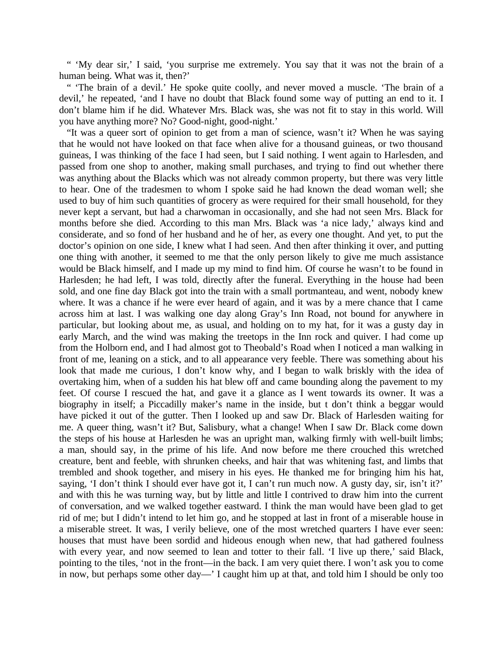" 'My dear sir,' I said, 'you surprise me extremely. You say that it was not the brain of a human being. What was it, then?'

" 'The brain of a devil.' He spoke quite coolly, and never moved a muscle. 'The brain of a devil,' he repeated, 'and I have no doubt that Black found some way of putting an end to it. I don't blame him if he did. Whatever Mrs. Black was, she was not fit to stay in this world. Will you have anything more? No? Good-night, good-night.'

"It was a queer sort of opinion to get from a man of science, wasn't it? When he was saying that he would not have looked on that face when alive for a thousand guineas, or two thousand guineas, I was thinking of the face I had seen, but I said nothing. I went again to Harlesden, and passed from one shop to another, making small purchases, and trying to find out whether there was anything about the Blacks which was not already common property, but there was very little to hear. One of the tradesmen to whom I spoke said he had known the dead woman well; she used to buy of him such quantities of grocery as were required for their small household, for they never kept a servant, but had a charwoman in occasionally, and she had not seen Mrs. Black for months before she died. According to this man Mrs. Black was 'a nice lady,' always kind and considerate, and so fond of her husband and he of her, as every one thought. And yet, to put the doctor's opinion on one side, I knew what I had seen. And then after thinking it over, and putting one thing with another, it seemed to me that the only person likely to give me much assistance would be Black himself, and I made up my mind to find him. Of course he wasn't to be found in Harlesden; he had left, I was told, directly after the funeral. Everything in the house had been sold, and one fine day Black got into the train with a small portmanteau, and went, nobody knew where. It was a chance if he were ever heard of again, and it was by a mere chance that I came across him at last. I was walking one day along Gray's Inn Road, not bound for anywhere in particular, but looking about me, as usual, and holding on to my hat, for it was a gusty day in early March, and the wind was making the treetops in the Inn rock and quiver. I had come up from the Holborn end, and I had almost got to Theobald's Road when I noticed a man walking in front of me, leaning on a stick, and to all appearance very feeble. There was something about his look that made me curious, I don't know why, and I began to walk briskly with the idea of overtaking him, when of a sudden his hat blew off and came bounding along the pavement to my feet. Of course I rescued the hat, and gave it a glance as I went towards its owner. It was a biography in itself; a Piccadilly maker's name in the inside, but t don't think a beggar would have picked it out of the gutter. Then I looked up and saw Dr. Black of Harlesden waiting for me. A queer thing, wasn't it? But, Salisbury, what a change! When I saw Dr. Black come down the steps of his house at Harlesden he was an upright man, walking firmly with well-built limbs; a man, should say, in the prime of his life. And now before me there crouched this wretched creature, bent and feeble, with shrunken cheeks, and hair that was whitening fast, and limbs that trembled and shook together, and misery in his eyes. He thanked me for bringing him his hat, saying, 'I don't think I should ever have got it, I can't run much now. A gusty day, sir, isn't it?' and with this he was turning way, but by little and little I contrived to draw him into the current of conversation, and we walked together eastward. I think the man would have been glad to get rid of me; but I didn't intend to let him go, and he stopped at last in front of a miserable house in a miserable street. It was, I verily believe, one of the most wretched quarters I have ever seen: houses that must have been sordid and hideous enough when new, that had gathered foulness with every year, and now seemed to lean and totter to their fall. 'I live up there,' said Black, pointing to the tiles, 'not in the front—in the back. I am very quiet there. I won't ask you to come in now, but perhaps some other day—' I caught him up at that, and told him I should be only too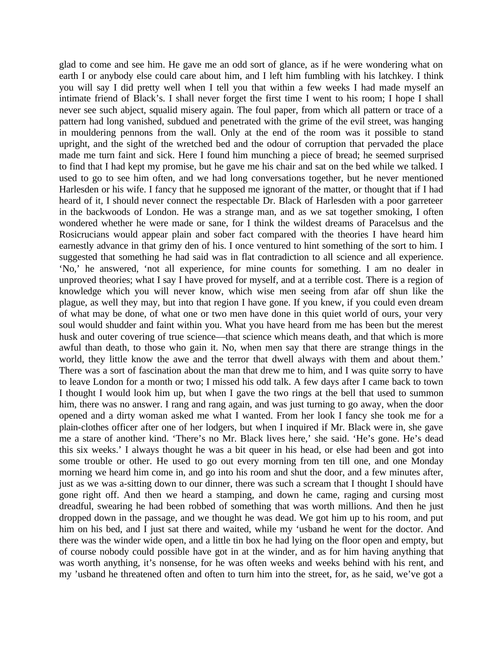glad to come and see him. He gave me an odd sort of glance, as if he were wondering what on earth I or anybody else could care about him, and I left him fumbling with his latchkey. I think you will say I did pretty well when I tell you that within a few weeks I had made myself an intimate friend of Black's. I shall never forget the first time I went to his room; I hope I shall never see such abject, squalid misery again. The foul paper, from which all pattern or trace of a pattern had long vanished, subdued and penetrated with the grime of the evil street, was hanging in mouldering pennons from the wall. Only at the end of the room was it possible to stand upright, and the sight of the wretched bed and the odour of corruption that pervaded the place made me turn faint and sick. Here I found him munching a piece of bread; he seemed surprised to find that I had kept my promise, but he gave me his chair and sat on the bed while we talked. I used to go to see him often, and we had long conversations together, but he never mentioned Harlesden or his wife. I fancy that he supposed me ignorant of the matter, or thought that if I had heard of it, I should never connect the respectable Dr. Black of Harlesden with a poor garreteer in the backwoods of London. He was a strange man, and as we sat together smoking, I often wondered whether he were made or sane, for I think the wildest dreams of Paracelsus and the Rosicrucians would appear plain and sober fact compared with the theories I have heard him earnestly advance in that grimy den of his. I once ventured to hint something of the sort to him. I suggested that something he had said was in flat contradiction to all science and all experience. 'No,' he answered, 'not all experience, for mine counts for something. I am no dealer in unproved theories; what I say I have proved for myself, and at a terrible cost. There is a region of knowledge which you will never know, which wise men seeing from afar off shun like the plague, as well they may, but into that region I have gone. If you knew, if you could even dream of what may be done, of what one or two men have done in this quiet world of ours, your very soul would shudder and faint within you. What you have heard from me has been but the merest husk and outer covering of true science—that science which means death, and that which is more awful than death, to those who gain it. No, when men say that there are strange things in the world, they little know the awe and the terror that dwell always with them and about them.' There was a sort of fascination about the man that drew me to him, and I was quite sorry to have to leave London for a month or two; I missed his odd talk. A few days after I came back to town I thought I would look him up, but when I gave the two rings at the bell that used to summon him, there was no answer. I rang and rang again, and was just turning to go away, when the door opened and a dirty woman asked me what I wanted. From her look I fancy she took me for a plain-clothes officer after one of her lodgers, but when I inquired if Mr. Black were in, she gave me a stare of another kind. 'There's no Mr. Black lives here,' she said. 'He's gone. He's dead this six weeks.' I always thought he was a bit queer in his head, or else had been and got into some trouble or other. He used to go out every morning from ten till one, and one Monday morning we heard him come in, and go into his room and shut the door, and a few minutes after, just as we was a-sitting down to our dinner, there was such a scream that I thought I should have gone right off. And then we heard a stamping, and down he came, raging and cursing most dreadful, swearing he had been robbed of something that was worth millions. And then he just dropped down in the passage, and we thought he was dead. We got him up to his room, and put him on his bed, and I just sat there and waited, while my 'usband he went for the doctor. And there was the winder wide open, and a little tin box he had lying on the floor open and empty, but of course nobody could possible have got in at the winder, and as for him having anything that was worth anything, it's nonsense, for he was often weeks and weeks behind with his rent, and my 'usband he threatened often and often to turn him into the street, for, as he said, we've got a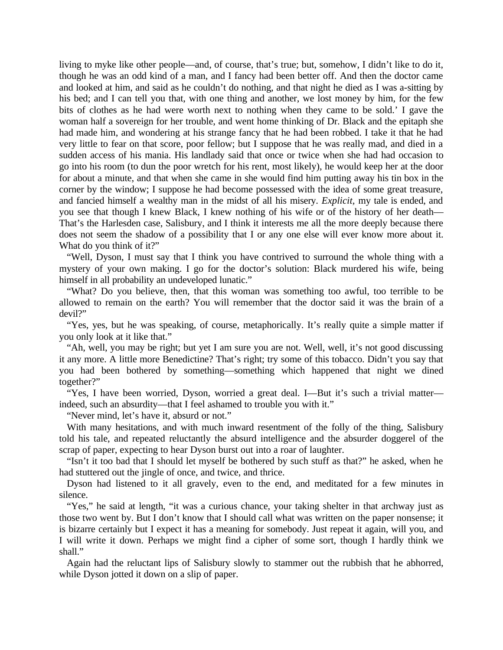living to myke like other people—and, of course, that's true; but, somehow, I didn't like to do it, though he was an odd kind of a man, and I fancy had been better off. And then the doctor came and looked at him, and said as he couldn't do nothing, and that night he died as I was a-sitting by his bed; and I can tell you that, with one thing and another, we lost money by him, for the few bits of clothes as he had were worth next to nothing when they came to be sold.' I gave the woman half a sovereign for her trouble, and went home thinking of Dr. Black and the epitaph she had made him, and wondering at his strange fancy that he had been robbed. I take it that he had very little to fear on that score, poor fellow; but I suppose that he was really mad, and died in a sudden access of his mania. His landlady said that once or twice when she had had occasion to go into his room (to dun the poor wretch for his rent, most likely), he would keep her at the door for about a minute, and that when she came in she would find him putting away his tin box in the corner by the window; I suppose he had become possessed with the idea of some great treasure, and fancied himself a wealthy man in the midst of all his misery. *Explicit,* my tale is ended, and you see that though I knew Black, I knew nothing of his wife or of the history of her death— That's the Harlesden case, Salisbury, and I think it interests me all the more deeply because there does not seem the shadow of a possibility that I or any one else will ever know more about it. What do you think of it?"

"Well, Dyson, I must say that I think you have contrived to surround the whole thing with a mystery of your own making. I go for the doctor's solution: Black murdered his wife, being himself in all probability an undeveloped lunatic."

"What? Do you believe, then, that this woman was something too awful, too terrible to be allowed to remain on the earth? You will remember that the doctor said it was the brain of a devil?"

"Yes, yes, but he was speaking, of course, metaphorically. It's really quite a simple matter if you only look at it like that."

"Ah, well, you may be right; but yet I am sure you are not. Well, well, it's not good discussing it any more. A little more Benedictine? That's right; try some of this tobacco. Didn't you say that you had been bothered by something—something which happened that night we dined together?"

"Yes, I have been worried, Dyson, worried a great deal. I—But it's such a trivial matter indeed, such an absurdity—that I feel ashamed to trouble you with it."

"Never mind, let's have it, absurd or not."

With many hesitations, and with much inward resentment of the folly of the thing, Salisbury told his tale, and repeated reluctantly the absurd intelligence and the absurder doggerel of the scrap of paper, expecting to hear Dyson burst out into a roar of laughter.

"Isn't it too bad that I should let myself be bothered by such stuff as that?" he asked, when he had stuttered out the jingle of once, and twice, and thrice.

Dyson had listened to it all gravely, even to the end, and meditated for a few minutes in silence.

"Yes," he said at length, "it was a curious chance, your taking shelter in that archway just as those two went by. But I don't know that I should call what was written on the paper nonsense; it is bizarre certainly but I expect it has a meaning for somebody. Just repeat it again, will you, and I will write it down. Perhaps we might find a cipher of some sort, though I hardly think we shall."

Again had the reluctant lips of Salisbury slowly to stammer out the rubbish that he abhorred, while Dyson jotted it down on a slip of paper.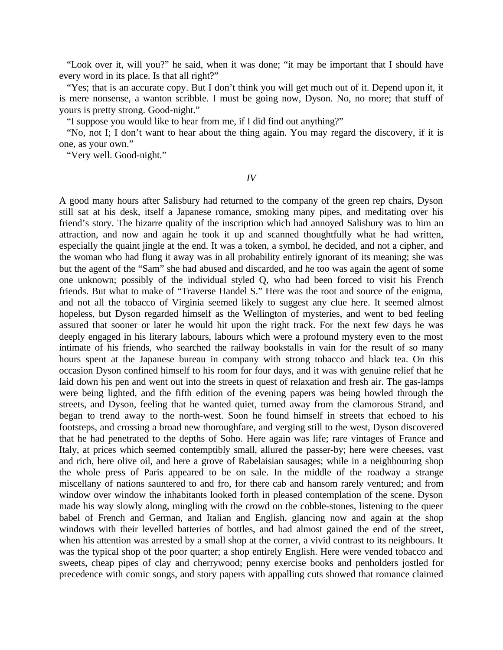"Look over it, will you?" he said, when it was done; "it may be important that I should have every word in its place. Is that all right?"

"Yes; that is an accurate copy. But I don't think you will get much out of it. Depend upon it, it is mere nonsense, a wanton scribble. I must be going now, Dyson. No, no more; that stuff of yours is pretty strong. Good-night."

"I suppose you would like to hear from me, if I did find out anything?"

"No, not I; I don't want to hear about the thing again. You may regard the discovery, if it is one, as your own."

"Very well. Good-night."

*IV*

A good many hours after Salisbury had returned to the company of the green rep chairs, Dyson still sat at his desk, itself a Japanese romance, smoking many pipes, and meditating over his friend's story. The bizarre quality of the inscription which had annoyed Salisbury was to him an attraction, and now and again he took it up and scanned thoughtfully what he had written, especially the quaint jingle at the end. It was a token, a symbol, he decided, and not a cipher, and the woman who had flung it away was in all probability entirely ignorant of its meaning; she was but the agent of the "Sam" she had abused and discarded, and he too was again the agent of some one unknown; possibly of the individual styled Q*,* who had been forced to visit his French friends. But what to make of "Traverse Handel S." Here was the root and source of the enigma, and not all the tobacco of Virginia seemed likely to suggest any clue here. It seemed almost hopeless, but Dyson regarded himself as the Wellington of mysteries, and went to bed feeling assured that sooner or later he would hit upon the right track. For the next few days he was deeply engaged in his literary labours, labours which were a profound mystery even to the most intimate of his friends, who searched the railway bookstalls in vain for the result of so many hours spent at the Japanese bureau in company with strong tobacco and black tea. On this occasion Dyson confined himself to his room for four days, and it was with genuine relief that he laid down his pen and went out into the streets in quest of relaxation and fresh air. The gas-lamps were being lighted, and the fifth edition of the evening papers was being howled through the streets, and Dyson, feeling that he wanted quiet, turned away from the clamorous Strand, and began to trend away to the north-west. Soon he found himself in streets that echoed to his footsteps, and crossing a broad new thoroughfare, and verging still to the west, Dyson discovered that he had penetrated to the depths of Soho. Here again was life; rare vintages of France and Italy, at prices which seemed contemptibly small, allured the passer-by; here were cheeses, vast and rich, here olive oil, and here a grove of Rabelaisian sausages; while in a neighbouring shop the whole press of Paris appeared to be on sale. In the middle of the roadway a strange miscellany of nations sauntered to and fro, for there cab and hansom rarely ventured; and from window over window the inhabitants looked forth in pleased contemplation of the scene. Dyson made his way slowly along, mingling with the crowd on the cobble-stones, listening to the queer babel of French and German, and Italian and English, glancing now and again at the shop windows with their levelled batteries of bottles, and had almost gained the end of the street, when his attention was arrested by a small shop at the corner, a vivid contrast to its neighbours. It was the typical shop of the poor quarter; a shop entirely English. Here were vended tobacco and sweets, cheap pipes of clay and cherrywood; penny exercise books and penholders jostled for precedence with comic songs, and story papers with appalling cuts showed that romance claimed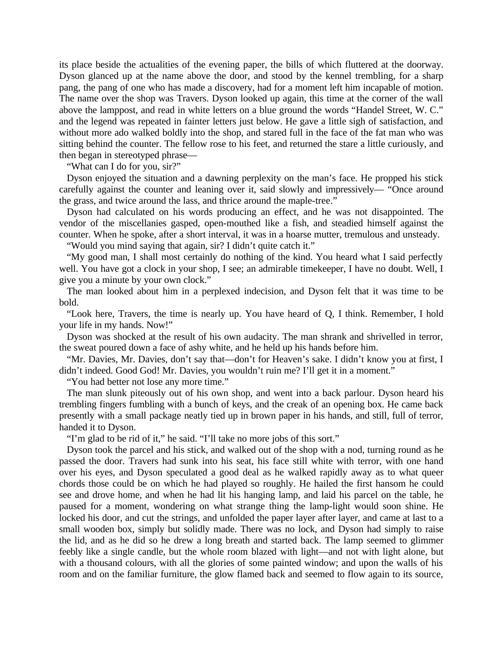its place beside the actualities of the evening paper, the bills of which fluttered at the doorway. Dyson glanced up at the name above the door, and stood by the kennel trembling, for a sharp pang, the pang of one who has made a discovery, had for a moment left him incapable of motion. The name over the shop was Travers. Dyson looked up again, this time at the corner of the wall above the lamppost, and read in white letters on a blue ground the words "Handel Street, W. C." and the legend was repeated in fainter letters just below. He gave a little sigh of satisfaction, and without more ado walked boldly into the shop, and stared full in the face of the fat man who was sitting behind the counter. The fellow rose to his feet, and returned the stare a little curiously, and then began in stereotyped phrase—

"What can I do for you, sir?"

Dyson enjoyed the situation and a dawning perplexity on the man's face. He propped his stick carefully against the counter and leaning over it, said slowly and impressively— "Once around the grass, and twice around the lass, and thrice around the maple-tree."

Dyson had calculated on his words producing an effect, and he was not disappointed. The vendor of the miscellanies gasped, open-mouthed like a fish, and steadied himself against the counter. When he spoke, after a short interval, it was in a hoarse mutter, tremulous and unsteady.

"Would you mind saying that again, sir? I didn't quite catch it."

"My good man, I shall most certainly do nothing of the kind. You heard what I said perfectly well. You have got a clock in your shop, I see; an admirable timekeeper, I have no doubt. Well, I give you a minute by your own clock."

The man looked about him in a perplexed indecision, and Dyson felt that it was time to be bold.

"Look here, Travers, the time is nearly up. You have heard of Q*,* I think. Remember, I hold your life in my hands. Now!"

Dyson was shocked at the result of his own audacity. The man shrank and shrivelled in terror, the sweat poured down a face of ashy white, and he held up his hands before him.

"Mr. Davies, Mr. Davies, don't say that—don't for Heaven's sake. I didn't know you at first, I didn't indeed. Good God! Mr. Davies, you wouldn't ruin me? I'll get it in a moment."

"You had better not lose any more time."

The man slunk piteously out of his own shop, and went into a back parlour. Dyson heard his trembling fingers fumbling with a bunch of keys, and the creak of an opening box. He came back presently with a small package neatly tied up in brown paper in his hands, and still, full of terror, handed it to Dyson.

"I'm glad to be rid of it," he said. "I'll take no more jobs of this sort."

Dyson took the parcel and his stick, and walked out of the shop with a nod, turning round as he passed the door. Travers had sunk into his seat, his face still white with terror, with one hand over his eyes, and Dyson speculated a good deal as he walked rapidly away as to what queer chords those could be on which he had played so roughly. He hailed the first hansom he could see and drove home, and when he had lit his hanging lamp, and laid his parcel on the table, he paused for a moment, wondering on what strange thing the lamp-light would soon shine. He locked his door, and cut the strings, and unfolded the paper layer after layer, and came at last to a small wooden box, simply but solidly made. There was no lock, and Dyson had simply to raise the lid, and as he did so he drew a long breath and started back. The lamp seemed to glimmer feebly like a single candle, but the whole room blazed with light—and not with light alone, but with a thousand colours, with all the glories of some painted window; and upon the walls of his room and on the familiar furniture, the glow flamed back and seemed to flow again to its source,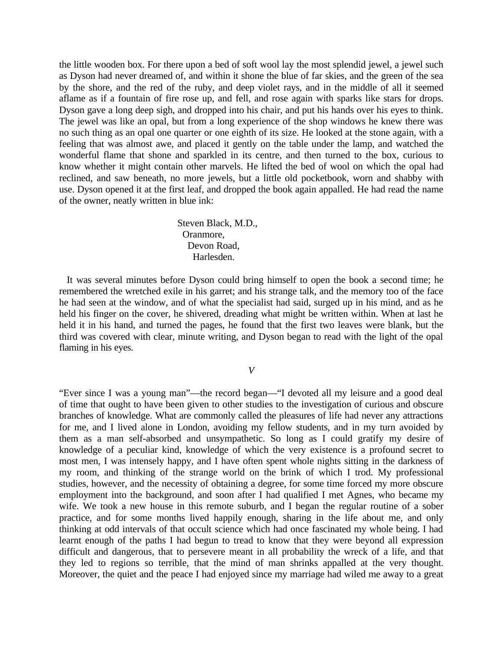the little wooden box. For there upon a bed of soft wool lay the most splendid jewel, a jewel such as Dyson had never dreamed of, and within it shone the blue of far skies, and the green of the sea by the shore, and the red of the ruby, and deep violet rays, and in the middle of all it seemed aflame as if a fountain of fire rose up, and fell, and rose again with sparks like stars for drops. Dyson gave a long deep sigh, and dropped into his chair, and put his hands over his eyes to think. The jewel was like an opal, but from a long experience of the shop windows he knew there was no such thing as an opal one quarter or one eighth of its size. He looked at the stone again, with a feeling that was almost awe, and placed it gently on the table under the lamp, and watched the wonderful flame that shone and sparkled in its centre, and then turned to the box, curious to know whether it might contain other marvels. He lifted the bed of wool on which the opal had reclined, and saw beneath, no more jewels, but a little old pocketbook, worn and shabby with use. Dyson opened it at the first leaf, and dropped the book again appalled. He had read the name of the owner, neatly written in blue ink:

> Steven Black, M.D., Oranmore, Devon Road, Harlesden.

It was several minutes before Dyson could bring himself to open the book a second time; he remembered the wretched exile in his garret; and his strange talk, and the memory too of the face he had seen at the window, and of what the specialist had said, surged up in his mind, and as he held his finger on the cover, he shivered, dreading what might be written within. When at last he held it in his hand, and turned the pages, he found that the first two leaves were blank, but the third was covered with clear, minute writing, and Dyson began to read with the light of the opal flaming in his eyes.

*V*

"Ever since I was a young man"—the record began—"I devoted all my leisure and a good deal of time that ought to have been given to other studies to the investigation of curious and obscure branches of knowledge. What are commonly called the pleasures of life had never any attractions for me, and I lived alone in London, avoiding my fellow students, and in my turn avoided by them as a man self-absorbed and unsympathetic. So long as I could gratify my desire of knowledge of a peculiar kind, knowledge of which the very existence is a profound secret to most men, I was intensely happy, and I have often spent whole nights sitting in the darkness of my room, and thinking of the strange world on the brink of which I trod. My professional studies, however, and the necessity of obtaining a degree, for some time forced my more obscure employment into the background, and soon after I had qualified I met Agnes, who became my wife. We took a new house in this remote suburb, and I began the regular routine of a sober practice, and for some months lived happily enough, sharing in the life about me, and only thinking at odd intervals of that occult science which had once fascinated my whole being. I had learnt enough of the paths I had begun to tread to know that they were beyond all expression difficult and dangerous, that to persevere meant in all probability the wreck of a life, and that they led to regions so terrible, that the mind of man shrinks appalled at the very thought. Moreover, the quiet and the peace I had enjoyed since my marriage had wiled me away to a great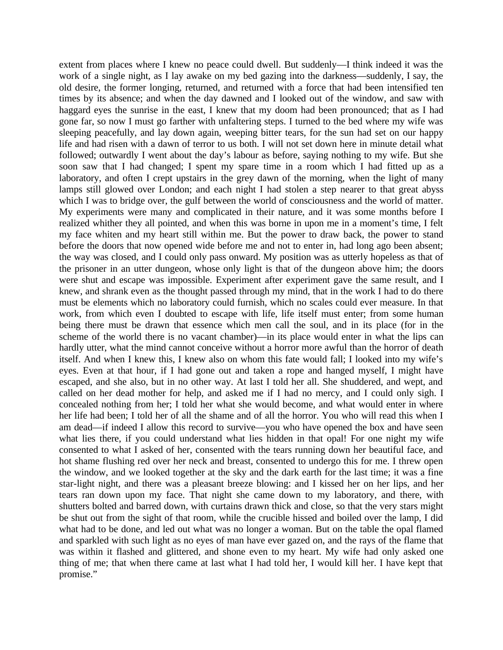extent from places where I knew no peace could dwell. But suddenly—I think indeed it was the work of a single night, as I lay awake on my bed gazing into the darkness—suddenly, I say, the old desire, the former longing, returned, and returned with a force that had been intensified ten times by its absence; and when the day dawned and I looked out of the window, and saw with haggard eyes the sunrise in the east, I knew that my doom had been pronounced; that as I had gone far, so now I must go farther with unfaltering steps. I turned to the bed where my wife was sleeping peacefully, and lay down again, weeping bitter tears, for the sun had set on our happy life and had risen with a dawn of terror to us both. I will not set down here in minute detail what followed; outwardly I went about the day's labour as before, saying nothing to my wife. But she soon saw that I had changed; I spent my spare time in a room which I had fitted up as a laboratory, and often I crept upstairs in the grey dawn of the morning, when the light of many lamps still glowed over London; and each night I had stolen a step nearer to that great abyss which I was to bridge over, the gulf between the world of consciousness and the world of matter. My experiments were many and complicated in their nature, and it was some months before I realized whither they all pointed, and when this was borne in upon me in a moment's time, I felt my face whiten and my heart still within me. But the power to draw back, the power to stand before the doors that now opened wide before me and not to enter in, had long ago been absent; the way was closed, and I could only pass onward. My position was as utterly hopeless as that of the prisoner in an utter dungeon, whose only light is that of the dungeon above him; the doors were shut and escape was impossible. Experiment after experiment gave the same result, and I knew, and shrank even as the thought passed through my mind, that in the work I had to do there must be elements which no laboratory could furnish, which no scales could ever measure. In that work, from which even I doubted to escape with life, life itself must enter; from some human being there must be drawn that essence which men call the soul, and in its place (for in the scheme of the world there is no vacant chamber)—in its place would enter in what the lips can hardly utter, what the mind cannot conceive without a horror more awful than the horror of death itself. And when I knew this, I knew also on whom this fate would fall; I looked into my wife's eyes. Even at that hour, if I had gone out and taken a rope and hanged myself, I might have escaped, and she also, but in no other way. At last I told her all. She shuddered, and wept, and called on her dead mother for help, and asked me if I had no mercy, and I could only sigh. I concealed nothing from her; I told her what she would become, and what would enter in where her life had been; I told her of all the shame and of all the horror. You who will read this when I am dead—if indeed I allow this record to survive—you who have opened the box and have seen what lies there, if you could understand what lies hidden in that opal! For one night my wife consented to what I asked of her, consented with the tears running down her beautiful face, and hot shame flushing red over her neck and breast, consented to undergo this for me. I threw open the window, and we looked together at the sky and the dark earth for the last time; it was a fine star-light night, and there was a pleasant breeze blowing: and I kissed her on her lips, and her tears ran down upon my face. That night she came down to my laboratory, and there, with shutters bolted and barred down, with curtains drawn thick and close, so that the very stars might be shut out from the sight of that room, while the crucible hissed and boiled over the lamp, I did what had to be done, and led out what was no longer a woman. But on the table the opal flamed and sparkled with such light as no eyes of man have ever gazed on, and the rays of the flame that was within it flashed and glittered, and shone even to my heart. My wife had only asked one thing of me; that when there came at last what I had told her, I would kill her. I have kept that promise."